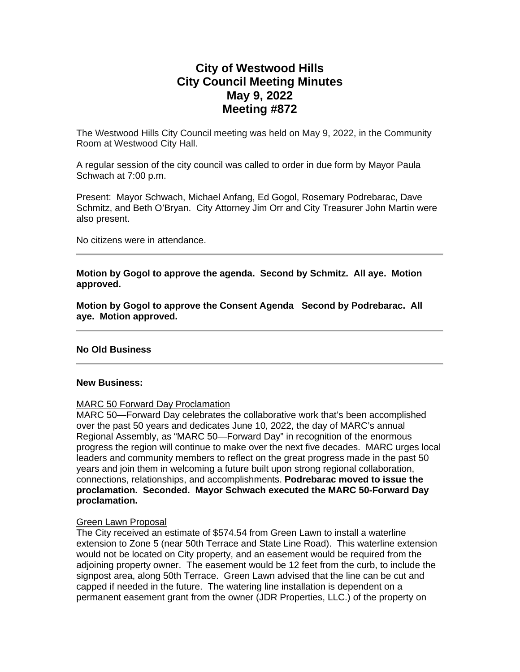# **City of Westwood Hills City Council Meeting Minutes May 9, 2022 Meeting #872**

The Westwood Hills City Council meeting was held on May 9, 2022, in the Community Room at Westwood City Hall.

A regular session of the city council was called to order in due form by Mayor Paula Schwach at 7:00 p.m.

Present: Mayor Schwach, Michael Anfang, Ed Gogol, Rosemary Podrebarac, Dave Schmitz, and Beth O'Bryan. City Attorney Jim Orr and City Treasurer John Martin were also present.

No citizens were in attendance.

**Motion by Gogol to approve the agenda. Second by Schmitz. All aye. Motion approved.** 

**Motion by Gogol to approve the Consent Agenda Second by Podrebarac. All aye. Motion approved.**

## **No Old Business**

#### **New Business:**

## MARC 50 Forward Day Proclamation

MARC 50—Forward Day celebrates the collaborative work that's been accomplished over the past 50 years and dedicates June 10, 2022, the day of MARC's annual Regional Assembly, as "MARC 50—Forward Day" in recognition of the enormous progress the region will continue to make over the next five decades. MARC urges local leaders and community members to reflect on the great progress made in the past 50 years and join them in welcoming a future built upon strong regional collaboration, connections, relationships, and accomplishments. **Podrebarac moved to issue the proclamation. Seconded. Mayor Schwach executed the MARC 50-Forward Day proclamation.**

## Green Lawn Proposal

The City received an estimate of \$574.54 from Green Lawn to install a waterline extension to Zone 5 (near 50th Terrace and State Line Road). This waterline extension would not be located on City property, and an easement would be required from the adjoining property owner. The easement would be 12 feet from the curb, to include the signpost area, along 50th Terrace. Green Lawn advised that the line can be cut and capped if needed in the future. The watering line installation is dependent on a permanent easement grant from the owner (JDR Properties, LLC.) of the property on